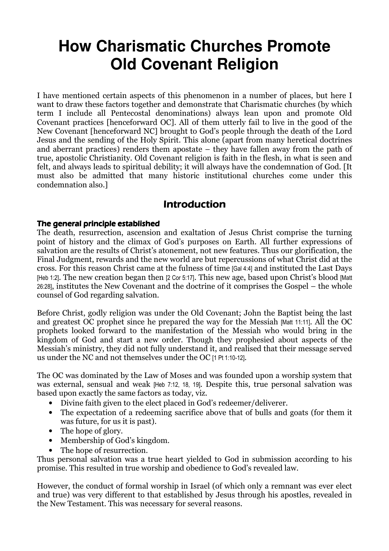# **How Charismatic Churches Promote Old Covenant Religion**

I have mentioned certain aspects of this phenomenon in a number of places, but here I want to draw these factors together and demonstrate that Charismatic churches (by which term I include all Pentecostal denominations) always lean upon and promote Old Covenant practices [henceforward OC]. All of them utterly fail to live in the good of the New Covenant [henceforward NC] brought to God's people through the death of the Lord Jesus and the sending of the Holy Spirit. This alone (apart from many heretical doctrines and aberrant practices) renders them apostate – they have fallen away from the path of true, apostolic Christianity. Old Covenant religion is faith in the flesh, in what is seen and felt, and always leads to spiritual debility; it will always have the condemnation of God. [It must also be admitted that many historic institutional churches come under this condemnation also.]

# Introduction

# The general principle established

The death, resurrection, ascension and exaltation of Jesus Christ comprise the turning point of history and the climax of God's purposes on Earth. All further expressions of salvation are the results of Christ's atonement, not new features. Thus our glorification, the Final Judgment, rewards and the new world are but repercussions of what Christ did at the cross. For this reason Christ came at the fulness of time [Gal 4:4] and instituted the Last Days [Heb 1:2]. The new creation began then [2 Cor 5:17]. This new age, based upon Christ's blood [Matt 26:28], institutes the New Covenant and the doctrine of it comprises the Gospel – the whole counsel of God regarding salvation.

Before Christ, godly religion was under the Old Covenant; John the Baptist being the last and greatest OC prophet since he prepared the way for the Messiah [Matt 11:11]. All the OC prophets looked forward to the manifestation of the Messiah who would bring in the kingdom of God and start a new order. Though they prophesied about aspects of the Messiah's ministry, they did not fully understand it, and realised that their message served us under the NC and not themselves under the OC [1 Pt 1:10-12].

The OC was dominated by the Law of Moses and was founded upon a worship system that was external, sensual and weak [Heb 7:12, 18, 19]. Despite this, true personal salvation was based upon exactly the same factors as today, viz.

- Divine faith given to the elect placed in God's redeemer/deliverer.
- The expectation of a redeeming sacrifice above that of bulls and goats (for them it was future, for us it is past).
- The hope of glory.
- Membership of God's kingdom.
- The hope of resurrection.

Thus personal salvation was a true heart yielded to God in submission according to his promise. This resulted in true worship and obedience to God's revealed law.

However, the conduct of formal worship in Israel (of which only a remnant was ever elect and true) was very different to that established by Jesus through his apostles, revealed in the New Testament. This was necessary for several reasons.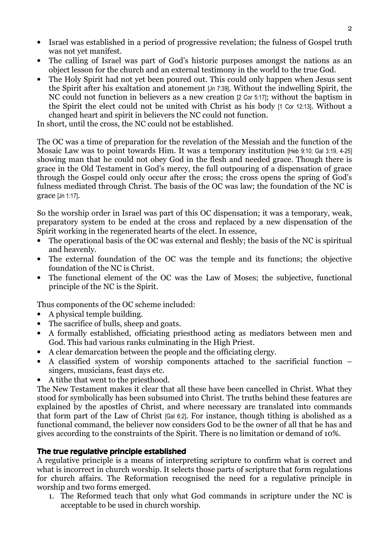- Israel was established in a period of progressive revelation; the fulness of Gospel truth was not yet manifest.
- The calling of Israel was part of God's historic purposes amongst the nations as an object lesson for the church and an external testimony in the world to the true God.
- The Holy Spirit had not yet been poured out. This could only happen when Jesus sent the Spirit after his exaltation and atonement [Jn 7:39]. Without the indwelling Spirit, the NC could not function in believers as a new creation [2 Cor 5:17]; without the baptism in the Spirit the elect could not be united with Christ as his body [1 Cor 12:13]. Without a changed heart and spirit in believers the NC could not function.

In short, until the cross, the NC could not be established.

The OC was a time of preparation for the revelation of the Messiah and the function of the Mosaic Law was to point towards Him. It was a temporary institution [Heb 9:10; Gal 3:19, 4-25] showing man that he could not obey God in the flesh and needed grace. Though there is grace in the Old Testament in God's mercy, the full outpouring of a dispensation of grace through the Gospel could only occur after the cross; the cross opens the spring of God's fulness mediated through Christ. The basis of the OC was law; the foundation of the NC is grace [Jn 1:17].

So the worship order in Israel was part of this OC dispensation; it was a temporary, weak, preparatory system to be ended at the cross and replaced by a new dispensation of the Spirit working in the regenerated hearts of the elect. In essence,

- The operational basis of the OC was external and fleshly; the basis of the NC is spiritual and heavenly.
- The external foundation of the OC was the temple and its functions; the objective foundation of the NC is Christ.
- The functional element of the OC was the Law of Moses; the subjective, functional principle of the NC is the Spirit.

Thus components of the OC scheme included:

- A physical temple building.
- The sacrifice of bulls, sheep and goats.
- A formally established, officiating priesthood acting as mediators between men and God. This had various ranks culminating in the High Priest.
- A clear demarcation between the people and the officiating clergy.
- A classified system of worship components attached to the sacrificial function singers, musicians, feast days etc.
- A tithe that went to the priesthood.

The New Testament makes it clear that all these have been cancelled in Christ. What they stood for symbolically has been subsumed into Christ. The truths behind these features are explained by the apostles of Christ, and where necessary are translated into commands that form part of the Law of Christ [Gal 6:2]. For instance, though tithing is abolished as a functional command, the believer now considers God to be the owner of all that he has and gives according to the constraints of the Spirit. There is no limitation or demand of 10%.

## The true regulative principle established

A regulative principle is a means of interpreting scripture to confirm what is correct and what is incorrect in church worship. It selects those parts of scripture that form regulations for church affairs. The Reformation recognised the need for a regulative principle in worship and two forms emerged.

1. The Reformed teach that only what God commands in scripture under the NC is acceptable to be used in church worship.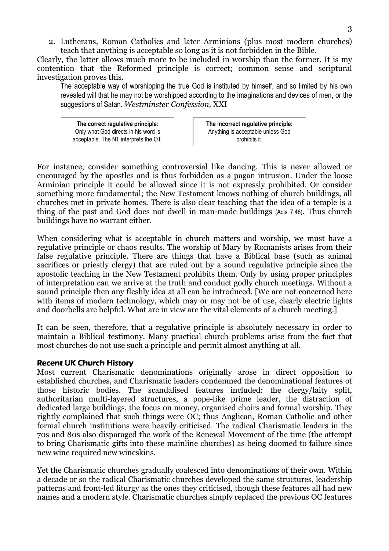2. Lutherans, Roman Catholics and later Arminians (plus most modern churches) teach that anything is acceptable so long as it is not forbidden in the Bible.

Clearly, the latter allows much more to be included in worship than the former. It is my contention that the Reformed principle is correct; common sense and scriptural investigation proves this.

The acceptable way of worshipping the true God is instituted by himself, and so limited by his own revealed will that he may not be worshipped according to the imaginations and devices of men, or the suggestions of Satan. Westminster Confession, XXI

The correct regulative principle: Only what God directs in his word is acceptable. The NT interprets the OT. The incorrect regulative principle: Anything is acceptable unless God prohibits it.

For instance, consider something controversial like dancing. This is never allowed or encouraged by the apostles and is thus forbidden as a pagan intrusion. Under the loose Arminian principle it could be allowed since it is not expressly prohibited. Or consider something more fundamental; the New Testament knows nothing of church buildings, all churches met in private homes. There is also clear teaching that the idea of a temple is a thing of the past and God does not dwell in man-made buildings (Acts 7:48). Thus church buildings have no warrant either.

When considering what is acceptable in church matters and worship, we must have a regulative principle or chaos results. The worship of Mary by Romanists arises from their false regulative principle. There are things that have a Biblical base (such as animal sacrifices or priestly clergy) that are ruled out by a sound regulative principle since the apostolic teaching in the New Testament prohibits them. Only by using proper principles of interpretation can we arrive at the truth and conduct godly church meetings. Without a sound principle then any fleshly idea at all can be introduced. [We are not concerned here with items of modern technology, which may or may not be of use, clearly electric lights and doorbells are helpful. What are in view are the vital elements of a church meeting.]

It can be seen, therefore, that a regulative principle is absolutely necessary in order to maintain a Biblical testimony. Many practical church problems arise from the fact that most churches do not use such a principle and permit almost anything at all.

## **Recent UK Church History**

Most current Charismatic denominations originally arose in direct opposition to established churches, and Charismatic leaders condemned the denominational features of those historic bodies. The scandalised features included: the clergy/laity split, authoritarian multi-layered structures, a pope-like prime leader, the distraction of dedicated large buildings, the focus on money, organised choirs and formal worship. They rightly complained that such things were OC; thus Anglican, Roman Catholic and other formal church institutions were heavily criticised. The radical Charismatic leaders in the 70s and 80s also disparaged the work of the Renewal Movement of the time (the attempt to bring Charismatic gifts into these mainline churches) as being doomed to failure since new wine required new wineskins.

Yet the Charismatic churches gradually coalesced into denominations of their own. Within a decade or so the radical Charismatic churches developed the same structures, leadership patterns and front-led liturgy as the ones they criticised, though these features all had new names and a modern style. Charismatic churches simply replaced the previous OC features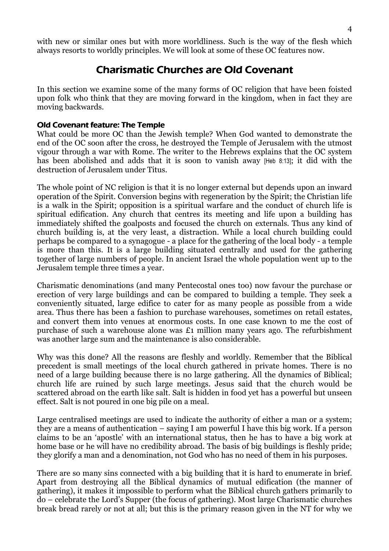with new or similar ones but with more worldliness. Such is the way of the flesh which always resorts to worldly principles. We will look at some of these OC features now.

# Charismatic Churches are Old Covenant

In this section we examine some of the many forms of OC religion that have been foisted upon folk who think that they are moving forward in the kingdom, when in fact they are moving backwards.

## Old Covenant feature: The Temple

What could be more OC than the Jewish temple? When God wanted to demonstrate the end of the OC soon after the cross, he destroyed the Temple of Jerusalem with the utmost vigour through a war with Rome. The writer to the Hebrews explains that the OC system has been abolished and adds that it is soon to vanish away [Heb 8:13]; it did with the destruction of Jerusalem under Titus.

The whole point of NC religion is that it is no longer external but depends upon an inward operation of the Spirit. Conversion begins with regeneration by the Spirit; the Christian life is a walk in the Spirit; opposition is a spiritual warfare and the conduct of church life is spiritual edification. Any church that centres its meeting and life upon a building has immediately shifted the goalposts and focused the church on externals. Thus any kind of church building is, at the very least, a distraction. While a local church building could perhaps be compared to a synagogue - a place for the gathering of the local body - a temple is more than this. It is a large building situated centrally and used for the gathering together of large numbers of people. In ancient Israel the whole population went up to the Jerusalem temple three times a year.

Charismatic denominations (and many Pentecostal ones too) now favour the purchase or erection of very large buildings and can be compared to building a temple. They seek a conveniently situated, large edifice to cater for as many people as possible from a wide area. Thus there has been a fashion to purchase warehouses, sometimes on retail estates, and convert them into venues at enormous costs. In one case known to me the cost of purchase of such a warehouse alone was £1 million many years ago. The refurbishment was another large sum and the maintenance is also considerable.

Why was this done? All the reasons are fleshly and worldly. Remember that the Biblical precedent is small meetings of the local church gathered in private homes. There is no need of a large building because there is no large gathering. All the dynamics of Biblical; church life are ruined by such large meetings. Jesus said that the church would be scattered abroad on the earth like salt. Salt is hidden in food yet has a powerful but unseen effect. Salt is not poured in one big pile on a meal.

Large centralised meetings are used to indicate the authority of either a man or a system; they are a means of authentication – saying I am powerful I have this big work. If a person claims to be an 'apostle' with an international status, then he has to have a big work at home base or he will have no credibility abroad. The basis of big buildings is fleshly pride; they glorify a man and a denomination, not God who has no need of them in his purposes.

There are so many sins connected with a big building that it is hard to enumerate in brief. Apart from destroying all the Biblical dynamics of mutual edification (the manner of gathering), it makes it impossible to perform what the Biblical church gathers primarily to do – celebrate the Lord's Supper (the focus of gathering). Most large Charismatic churches break bread rarely or not at all; but this is the primary reason given in the NT for why we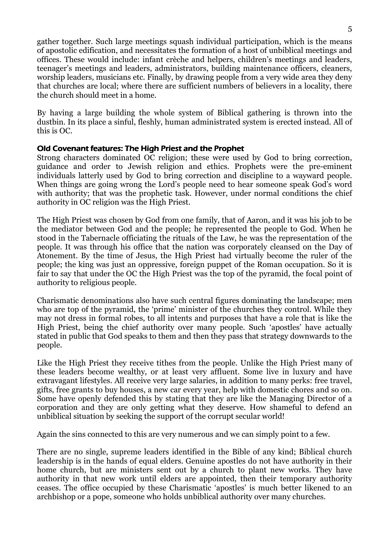gather together. Such large meetings squash individual participation, which is the means of apostolic edification, and necessitates the formation of a host of unbiblical meetings and offices. These would include: infant crèche and helpers, children's meetings and leaders, teenager's meetings and leaders, administrators, building maintenance officers, cleaners, worship leaders, musicians etc. Finally, by drawing people from a very wide area they deny that churches are local; where there are sufficient numbers of believers in a locality, there the church should meet in a home.

By having a large building the whole system of Biblical gathering is thrown into the dustbin. In its place a sinful, fleshly, human administrated system is erected instead. All of this is OC.

# Old Covenant features: The High Priest and the Prophet

Strong characters dominated OC religion; these were used by God to bring correction, guidance and order to Jewish religion and ethics. Prophets were the pre-eminent individuals latterly used by God to bring correction and discipline to a wayward people. When things are going wrong the Lord's people need to hear someone speak God's word with authority; that was the prophetic task. However, under normal conditions the chief authority in OC religion was the High Priest.

The High Priest was chosen by God from one family, that of Aaron, and it was his job to be the mediator between God and the people; he represented the people to God. When he stood in the Tabernacle officiating the rituals of the Law, he was the representation of the people. It was through his office that the nation was corporately cleansed on the Day of Atonement. By the time of Jesus, the High Priest had virtually become the ruler of the people; the king was just an oppressive, foreign puppet of the Roman occupation. So it is fair to say that under the OC the High Priest was the top of the pyramid, the focal point of authority to religious people.

Charismatic denominations also have such central figures dominating the landscape; men who are top of the pyramid, the 'prime' minister of the churches they control. While they may not dress in formal robes, to all intents and purposes that have a role that is like the High Priest, being the chief authority over many people. Such 'apostles' have actually stated in public that God speaks to them and then they pass that strategy downwards to the people.

Like the High Priest they receive tithes from the people. Unlike the High Priest many of these leaders become wealthy, or at least very affluent. Some live in luxury and have extravagant lifestyles. All receive very large salaries, in addition to many perks: free travel, gifts, free grants to buy houses, a new car every year, help with domestic chores and so on. Some have openly defended this by stating that they are like the Managing Director of a corporation and they are only getting what they deserve. How shameful to defend an unbiblical situation by seeking the support of the corrupt secular world!

Again the sins connected to this are very numerous and we can simply point to a few.

There are no single, supreme leaders identified in the Bible of any kind; Biblical church leadership is in the hands of equal elders. Genuine apostles do not have authority in their home church, but are ministers sent out by a church to plant new works. They have authority in that new work until elders are appointed, then their temporary authority ceases. The office occupied by these Charismatic 'apostles' is much better likened to an archbishop or a pope, someone who holds unbiblical authority over many churches.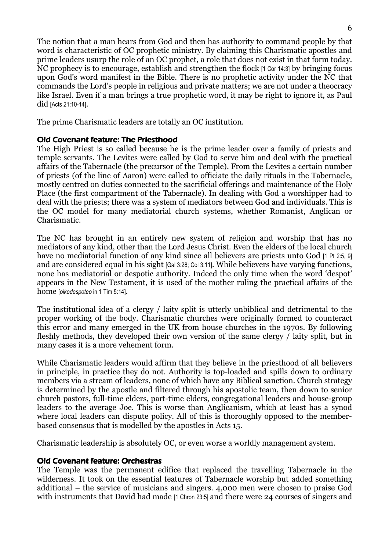The notion that a man hears from God and then has authority to command people by that word is characteristic of OC prophetic ministry. By claiming this Charismatic apostles and prime leaders usurp the role of an OC prophet, a role that does not exist in that form today. NC prophecy is to encourage, establish and strengthen the flock [1 Cor 14:3] by bringing focus upon God's word manifest in the Bible. There is no prophetic activity under the NC that commands the Lord's people in religious and private matters; we are not under a theocracy like Israel. Even if a man brings a true prophetic word, it may be right to ignore it, as Paul did [Acts 21:10-14].

The prime Charismatic leaders are totally an OC institution.

# Old Covenant feature: The Priesthood

The High Priest is so called because he is the prime leader over a family of priests and temple servants. The Levites were called by God to serve him and deal with the practical affairs of the Tabernacle (the precursor of the Temple). From the Levites a certain number of priests (of the line of Aaron) were called to officiate the daily rituals in the Tabernacle, mostly centred on duties connected to the sacrificial offerings and maintenance of the Holy Place (the first compartment of the Tabernacle). In dealing with God a worshipper had to deal with the priests; there was a system of mediators between God and individuals. This is the OC model for many mediatorial church systems, whether Romanist, Anglican or Charismatic.

The NC has brought in an entirely new system of religion and worship that has no mediators of any kind, other than the Lord Jesus Christ. Even the elders of the local church have no mediatorial function of any kind since all believers are priests unto God [1 Pt 2:5, 9] and are considered equal in his sight [Gal 3:28; Col 3:11]. While believers have varying functions, none has mediatorial or despotic authority. Indeed the only time when the word 'despot' appears in the New Testament, it is used of the mother ruling the practical affairs of the home [oikodespoteo in 1 Tim 5:14].

The institutional idea of a clergy / laity split is utterly unbiblical and detrimental to the proper working of the body. Charismatic churches were originally formed to counteract this error and many emerged in the UK from house churches in the 1970s. By following fleshly methods, they developed their own version of the same clergy / laity split, but in many cases it is a more vehement form.

While Charismatic leaders would affirm that they believe in the priesthood of all believers in principle, in practice they do not. Authority is top-loaded and spills down to ordinary members via a stream of leaders, none of which have any Biblical sanction. Church strategy is determined by the apostle and filtered through his apostolic team, then down to senior church pastors, full-time elders, part-time elders, congregational leaders and house-group leaders to the average Joe. This is worse than Anglicanism, which at least has a synod where local leaders can dispute policy. All of this is thoroughly opposed to the memberbased consensus that is modelled by the apostles in Acts 15.

Charismatic leadership is absolutely OC, or even worse a worldly management system.

# Old Covenant feature: Orchestras

The Temple was the permanent edifice that replaced the travelling Tabernacle in the wilderness. It took on the essential features of Tabernacle worship but added something additional – the service of musicians and singers. 4,000 men were chosen to praise God with instruments that David had made [1 Chron 23:5] and there were 24 courses of singers and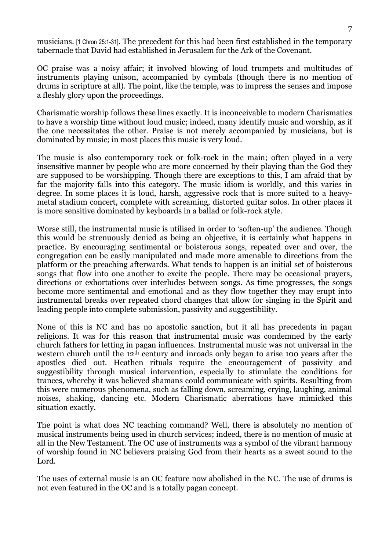musicians. [1 Chron 25:1-31]. The precedent for this had been first established in the temporary tabernacle that David had established in Jerusalem for the Ark of the Covenant.

OC praise was a noisy affair; it involved blowing of loud trumpets and multitudes of instruments playing unison, accompanied by cymbals (though there is no mention of drums in scripture at all). The point, like the temple, was to impress the senses and impose a fleshly glory upon the proceedings.

Charismatic worship follows these lines exactly. It is inconceivable to modern Charismatics to have a worship time without loud music; indeed, many identify music and worship, as if the one necessitates the other. Praise is not merely accompanied by musicians, but is dominated by music; in most places this music is very loud.

The music is also contemporary rock or folk-rock in the main; often played in a very insensitive manner by people who are more concerned by their playing than the God they are supposed to be worshipping. Though there are exceptions to this, I am afraid that by far the majority falls into this category. The music idiom is worldly, and this varies in degree. In some places it is loud, harsh, aggressive rock that is more suited to a heavymetal stadium concert, complete with screaming, distorted guitar solos. In other places it is more sensitive dominated by keyboards in a ballad or folk-rock style.

Worse still, the instrumental music is utilised in order to 'soften-up' the audience. Though this would be strenuously denied as being an objective, it is certainly what happens in practice. By encouraging sentimental or boisterous songs, repeated over and over, the congregation can be easily manipulated and made more amenable to directions from the platform or the preaching afterwards. What tends to happen is an initial set of boisterous songs that flow into one another to excite the people. There may be occasional prayers, directions or exhortations over interludes between songs. As time progresses, the songs become more sentimental and emotional and as they flow together they may erupt into instrumental breaks over repeated chord changes that allow for singing in the Spirit and leading people into complete submission, passivity and suggestibility.

None of this is NC and has no apostolic sanction, but it all has precedents in pagan religions. It was for this reason that instrumental music was condemned by the early church fathers for letting in pagan influences. Instrumental music was not universal in the western church until the 12<sup>th</sup> century and inroads only began to arise 100 years after the apostles died out. Heathen rituals require the encouragement of passivity and suggestibility through musical intervention, especially to stimulate the conditions for trances, whereby it was believed shamans could communicate with spirits. Resulting from this were numerous phenomena, such as falling down, screaming, crying, laughing, animal noises, shaking, dancing etc. Modern Charismatic aberrations have mimicked this situation exactly.

The point is what does NC teaching command? Well, there is absolutely no mention of musical instruments being used in church services; indeed, there is no mention of music at all in the New Testament. The OC use of instruments was a symbol of the vibrant harmony of worship found in NC believers praising God from their hearts as a sweet sound to the Lord.

The uses of external music is an OC feature now abolished in the NC. The use of drums is not even featured in the OC and is a totally pagan concept.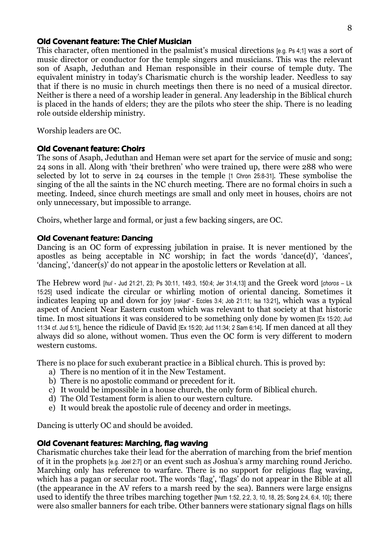#### Old Covenant feature: The Chief Musician

This character, often mentioned in the psalmist's musical directions [e.g. Ps 4;1] was a sort of music director or conductor for the temple singers and musicians. This was the relevant son of Asaph, Jeduthan and Heman responsible in their course of temple duty. The equivalent ministry in today's Charismatic church is the worship leader. Needless to say that if there is no music in church meetings then there is no need of a musical director. Neither is there a need of a worship leader in general. Any leadership in the Biblical church is placed in the hands of elders; they are the pilots who steer the ship. There is no leading role outside eldership ministry.

Worship leaders are OC.

#### **Old Covenant feature: Choirs**

The sons of Asaph, Jeduthan and Heman were set apart for the service of music and song; 24 sons in all. Along with 'their brethren' who were trained up, there were 288 who were selected by lot to serve in 24 courses in the temple [1 Chron 25:8-31]. These symbolise the singing of the all the saints in the NC church meeting. There are no formal choirs in such a meeting. Indeed, since church meetings are small and only meet in houses, choirs are not only unnecessary, but impossible to arrange.

Choirs, whether large and formal, or just a few backing singers, are OC.

#### **Old Covenant feature: Dancing**

Dancing is an OC form of expressing jubilation in praise. It is never mentioned by the apostles as being acceptable in NC worship; in fact the words 'dance(d)', 'dances', 'dancing', 'dancer(s)' do not appear in the apostolic letters or Revelation at all.

The Hebrew word [hul - Jud 21:21, 23; Ps 30:11, 149:3, 150:4; Jer 31:4,13] and the Greek word [choros – Lk 15:25] used indicate the circular or whirling motion of oriental dancing. Sometimes it indicates leaping up and down for joy [rakad' - Eccles 3:4; Job 21:11; Isa 13:21], which was a typical aspect of Ancient Near Eastern custom which was relevant to that society at that historic time. In most situations it was considered to be something only done by women [Ex 15:20; Jud 11:34 cf. Jud 5:1], hence the ridicule of David [Ex 15:20; Jud 11:34; 2 Sam 6:14]. If men danced at all they always did so alone, without women. Thus even the OC form is very different to modern western customs.

There is no place for such exuberant practice in a Biblical church. This is proved by:

- a) There is no mention of it in the New Testament.
- b) There is no apostolic command or precedent for it.
- c) It would be impossible in a house church, the only form of Biblical church.
- d) The Old Testament form is alien to our western culture.
- e) It would break the apostolic rule of decency and order in meetings.

Dancing is utterly OC and should be avoided.

#### Old Covenant features: Marching, flag waving

Charismatic churches take their lead for the aberration of marching from the brief mention of it in the prophets [e.g. Joel 2:7] or an event such as Joshua's army marching round Jericho. Marching only has reference to warfare. There is no support for religious flag waving, which has a pagan or secular root. The words 'flag', 'flags' do not appear in the Bible at all (the appearance in the AV refers to a marsh reed by the sea). Banners were large ensigns used to identify the three tribes marching together [Num 1:52, 2:2, 3, 10, 18, 25; Song 2:4, 6:4, 10]; there were also smaller banners for each tribe. Other banners were stationary signal flags on hills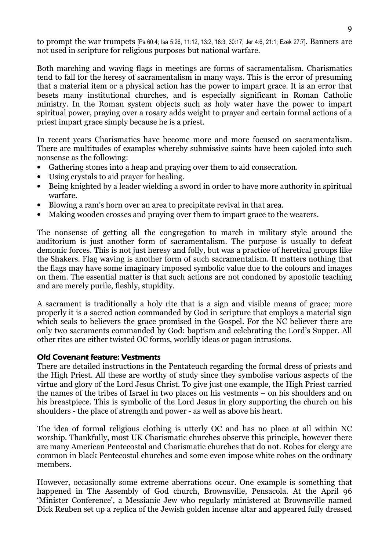to prompt the war trumpets [Ps 60:4; Isa 5:26, 11:12, 13:2, 18:3, 30:17; Jer 4:6, 21:1; Ezek 27:7]. Banners are not used in scripture for religious purposes but national warfare.

Both marching and waving flags in meetings are forms of sacramentalism. Charismatics tend to fall for the heresy of sacramentalism in many ways. This is the error of presuming that a material item or a physical action has the power to impart grace. It is an error that besets many institutional churches, and is especially significant in Roman Catholic ministry. In the Roman system objects such as holy water have the power to impart spiritual power, praying over a rosary adds weight to prayer and certain formal actions of a priest impart grace simply because he is a priest.

In recent years Charismatics have become more and more focused on sacramentalism. There are multitudes of examples whereby submissive saints have been cajoled into such nonsense as the following:

- Gathering stones into a heap and praying over them to aid consecration.
- Using crystals to aid prayer for healing.
- Being knighted by a leader wielding a sword in order to have more authority in spiritual warfare.
- Blowing a ram's horn over an area to precipitate revival in that area.
- Making wooden crosses and praying over them to impart grace to the wearers.

The nonsense of getting all the congregation to march in military style around the auditorium is just another form of sacramentalism. The purpose is usually to defeat demonic forces. This is not just heresy and folly, but was a practice of heretical groups like the Shakers. Flag waving is another form of such sacramentalism. It matters nothing that the flags may have some imaginary imposed symbolic value due to the colours and images on them. The essential matter is that such actions are not condoned by apostolic teaching and are merely purile, fleshly, stupidity.

A sacrament is traditionally a holy rite that is a sign and visible means of grace; more properly it is a sacred action commanded by God in scripture that employs a material sign which seals to believers the grace promised in the Gospel. For the NC believer there are only two sacraments commanded by God: baptism and celebrating the Lord's Supper. All other rites are either twisted OC forms, worldly ideas or pagan intrusions.

## **Old Covenant feature: Vestments**

There are detailed instructions in the Pentateuch regarding the formal dress of priests and the High Priest. All these are worthy of study since they symbolise various aspects of the virtue and glory of the Lord Jesus Christ. To give just one example, the High Priest carried the names of the tribes of Israel in two places on his vestments – on his shoulders and on his breastpiece. This is symbolic of the Lord Jesus in glory supporting the church on his shoulders - the place of strength and power - as well as above his heart.

The idea of formal religious clothing is utterly OC and has no place at all within NC worship. Thankfully, most UK Charismatic churches observe this principle, however there are many American Pentecostal and Charismatic churches that do not. Robes for clergy are common in black Pentecostal churches and some even impose white robes on the ordinary members.

However, occasionally some extreme aberrations occur. One example is something that happened in The Assembly of God church, Brownsville, Pensacola. At the April 96 'Minister Conference', a Messianic Jew who regularly ministered at Brownsville named Dick Reuben set up a replica of the Jewish golden incense altar and appeared fully dressed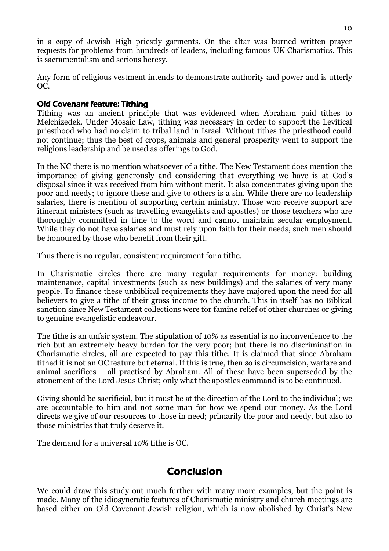in a copy of Jewish High priestly garments. On the altar was burned written prayer requests for problems from hundreds of leaders, including famous UK Charismatics. This is sacramentalism and serious heresy.

Any form of religious vestment intends to demonstrate authority and power and is utterly OC.

# Old Covenant feature: Tithing Old Covenant feature: Tithing

Tithing was an ancient principle that was evidenced when Abraham paid tithes to Melchizedek. Under Mosaic Law, tithing was necessary in order to support the Levitical priesthood who had no claim to tribal land in Israel. Without tithes the priesthood could not continue; thus the best of crops, animals and general prosperity went to support the religious leadership and be used as offerings to God.

In the NC there is no mention whatsoever of a tithe. The New Testament does mention the importance of giving generously and considering that everything we have is at God's disposal since it was received from him without merit. It also concentrates giving upon the poor and needy; to ignore these and give to others is a sin. While there are no leadership salaries, there is mention of supporting certain ministry. Those who receive support are itinerant ministers (such as travelling evangelists and apostles) or those teachers who are thoroughly committed in time to the word and cannot maintain secular employment. While they do not have salaries and must rely upon faith for their needs, such men should be honoured by those who benefit from their gift.

Thus there is no regular, consistent requirement for a tithe.

In Charismatic circles there are many regular requirements for money: building maintenance, capital investments (such as new buildings) and the salaries of very many people. To finance these unbiblical requirements they have majored upon the need for all believers to give a tithe of their gross income to the church. This in itself has no Biblical sanction since New Testament collections were for famine relief of other churches or giving to genuine evangelistic endeavour.

The tithe is an unfair system. The stipulation of 10% as essential is no inconvenience to the rich but an extremely heavy burden for the very poor; but there is no discrimination in Charismatic circles, all are expected to pay this tithe. It is claimed that since Abraham tithed it is not an OC feature but eternal. If this is true, then so is circumcision, warfare and animal sacrifices – all practised by Abraham. All of these have been superseded by the atonement of the Lord Jesus Christ; only what the apostles command is to be continued.

Giving should be sacrificial, but it must be at the direction of the Lord to the individual; we are accountable to him and not some man for how we spend our money. As the Lord directs we give of our resources to those in need; primarily the poor and needy, but also to those ministries that truly deserve it.

The demand for a universal 10% tithe is OC.

# **Conclusion**

We could draw this study out much further with many more examples, but the point is made. Many of the idiosyncratic features of Charismatic ministry and church meetings are based either on Old Covenant Jewish religion, which is now abolished by Christ's New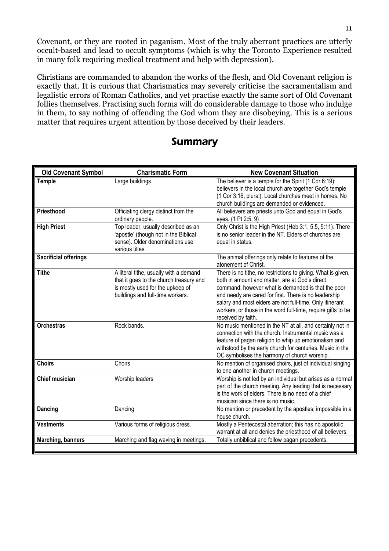Covenant, or they are rooted in paganism. Most of the truly aberrant practices are utterly occult-based and lead to occult symptoms (which is why the Toronto Experience resulted in many folk requiring medical treatment and help with depression).

Christians are commanded to abandon the works of the flesh, and Old Covenant religion is exactly that. It is curious that Charismatics may severely criticise the sacramentalism and legalistic errors of Roman Catholics, and yet practise exactly the same sort of Old Covenant follies themselves. Practising such forms will do considerable damage to those who indulge in them, to say nothing of offending the God whom they are disobeying. This is a serious matter that requires urgent attention by those deceived by their leaders.

# Summary

| <b>Old Covenant Symbol</b>   | <b>Charismatic Form</b>                                                                                                                                   | <b>New Covenant Situation</b>                                                                                                                                                                                                                                                                                                                                                   |
|------------------------------|-----------------------------------------------------------------------------------------------------------------------------------------------------------|---------------------------------------------------------------------------------------------------------------------------------------------------------------------------------------------------------------------------------------------------------------------------------------------------------------------------------------------------------------------------------|
| <b>Temple</b>                | Large buildings.                                                                                                                                          | The believer is a temple for the Spirit (1 Cor 6:19);<br>believers in the local church are together God's temple<br>(1 Cor 3:16, plural). Local churches meet in homes. No<br>church buildings are demanded or evidenced.                                                                                                                                                       |
| Priesthood                   | Officiating clergy distinct from the<br>ordinary people.                                                                                                  | All believers are priests unto God and equal in God's<br>eyes. (1 Pt 2:5, 9)                                                                                                                                                                                                                                                                                                    |
| <b>High Priest</b>           | Top leader, usually described as an<br>'apostle' (though not in the Biblical<br>sense). Older denominations use<br>various titles.                        | Only Christ is the High Priest (Heb 3:1, 5:5, 9:11). There<br>is no senior leader in the NT. Elders of churches are<br>equal in status.                                                                                                                                                                                                                                         |
| <b>Sacrificial offerings</b> |                                                                                                                                                           | The animal offerings only relate to features of the<br>atonement of Christ.                                                                                                                                                                                                                                                                                                     |
| <b>Tithe</b>                 | A literal tithe, usually with a demand<br>that it goes to the church treasury and<br>is mostly used for the upkeep of<br>buildings and full-time workers. | There is no tithe, no restrictions to giving. What is given,<br>both in amount and matter, are at God's direct<br>command; however what is demanded is that the poor<br>and needy are cared for first. There is no leadership<br>salary and most elders are not full-time. Only itinerant<br>workers, or those in the word full-time, require gifts to be<br>received by faith. |
| <b>Orchestras</b>            | Rock bands.                                                                                                                                               | No music mentioned in the NT at all, and certainly not in<br>connection with the church. Instrumental music was a<br>feature of pagan religion to whip up emotionalism and<br>withstood by the early church for centuries. Music in the<br>OC symbolises the harmony of church worship.                                                                                         |
| <b>Choirs</b>                | Choirs                                                                                                                                                    | No mention of organised choirs, just of individual singing<br>to one another in church meetings.                                                                                                                                                                                                                                                                                |
| <b>Chief musician</b>        | Worship leaders                                                                                                                                           | Worship is not led by an individual but arises as a normal<br>part of the church meeting. Any leading that is necessary<br>is the work of elders. There is no need of a chief<br>musician since there is no music.                                                                                                                                                              |
| Dancing                      | Dancing                                                                                                                                                   | No mention or precedent by the apostles; impossible in a<br>house church.                                                                                                                                                                                                                                                                                                       |
| <b>Vestments</b>             | Various forms of religious dress.                                                                                                                         | Mostly a Pentecostal aberration; this has no apostolic<br>warrant at all and denies the priesthood of all believers,                                                                                                                                                                                                                                                            |
| Marching, banners            | Marching and flag waving in meetings.                                                                                                                     | Totally unbiblical and follow pagan precedents.                                                                                                                                                                                                                                                                                                                                 |